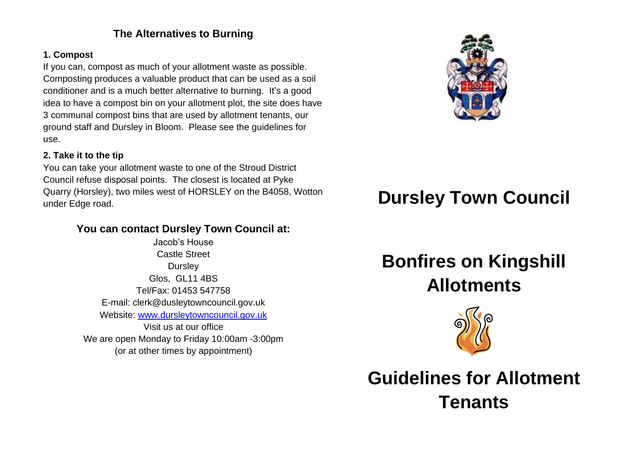## **The Alternatives to Burning**

#### **1. Compost**

If you can, compost as much of your allotment waste as possible. Composting produces a valuable product that can be used as a soil conditioner and is a much better alternative to burning. It's a good idea to have a compost bin on your allotment plot, the site does have 3 communal compost bins that are used by allotment tenants, our ground staff and Dursley in Bloom. Please see the guidelines for use.

#### **2. Take it to the tip**

You can take your allotment waste to one of the Stroud District Council refuse disposal points. The closest is located at Pyke Quarry (Horsley), two miles west of HORSLEY on the B4058, Wotton under Edge road.

### **You can contact Dursley Town Council at:**

Jacob's House Castle Street **Dursley** Glos, GL11 4BS Tel/Fax: 01453 547758 E-mail: clerk@dusleytowncouncil.gov.uk Website: [www.dursleytowncouncil.gov.uk](http://www.dursleytowncouncil.gov.uk/) Visit us at our office We are open Monday to Friday 10:00am -3:00pm (or at other times by appointment)



# **Dursley Town Council**

# **Bonfires on Kingshill Allotments**



**Guidelines for Allotment Tenants**